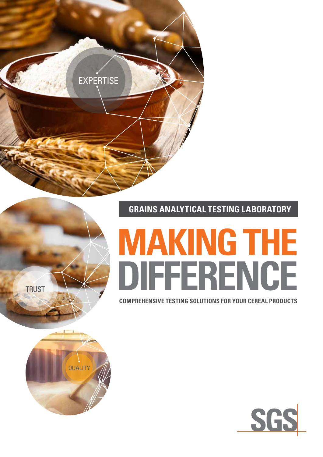

**GRAINS ANALYTICAL TESTING LABORATORY**

# **MAKING THE DIFFERENCE**

**COMPREHENSIVE TESTING SOLUTIONS FOR YOUR CEREAL PRODUCTS**



**TRUST**